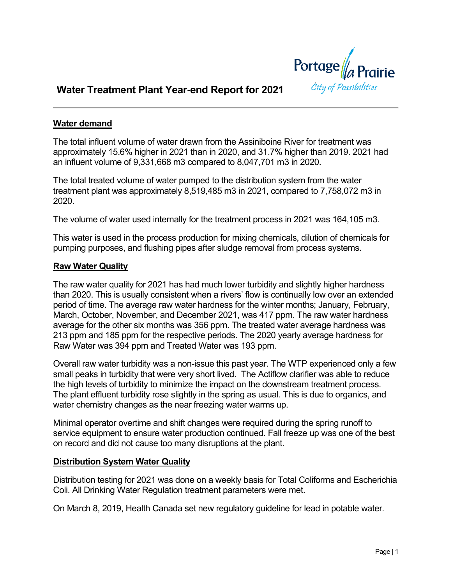

# **Water Treatment Plant Year-end Report for 2021**

## **Water demand**

The total influent volume of water drawn from the Assiniboine River for treatment was approximately 15.6% higher in 2021 than in 2020, and 31.7% higher than 2019. 2021 had an influent volume of 9,331,668 m3 compared to 8,047,701 m3 in 2020.

The total treated volume of water pumped to the distribution system from the water treatment plant was approximately 8,519,485 m3 in 2021, compared to 7,758,072 m3 in 2020.

The volume of water used internally for the treatment process in 2021 was 164,105 m3.

This water is used in the process production for mixing chemicals, dilution of chemicals for pumping purposes, and flushing pipes after sludge removal from process systems.

#### **Raw Water Quality**

The raw water quality for 2021 has had much lower turbidity and slightly higher hardness than 2020. This is usually consistent when a rivers' flow is continually low over an extended period of time. The average raw water hardness for the winter months; January, February, March, October, November, and December 2021, was 417 ppm. The raw water hardness average for the other six months was 356 ppm. The treated water average hardness was 213 ppm and 185 ppm for the respective periods. The 2020 yearly average hardness for Raw Water was 394 ppm and Treated Water was 193 ppm.

Overall raw water turbidity was a non-issue this past year. The WTP experienced only a few small peaks in turbidity that were very short lived. The Actiflow clarifier was able to reduce the high levels of turbidity to minimize the impact on the downstream treatment process. The plant effluent turbidity rose slightly in the spring as usual. This is due to organics, and water chemistry changes as the near freezing water warms up.

Minimal operator overtime and shift changes were required during the spring runoff to service equipment to ensure water production continued. Fall freeze up was one of the best on record and did not cause too many disruptions at the plant.

#### **Distribution System Water Quality**

Distribution testing for 2021 was done on a weekly basis for Total Coliforms and Escherichia Coli. All Drinking Water Regulation treatment parameters were met.

On March 8, 2019, Health Canada set new regulatory guideline for lead in potable water.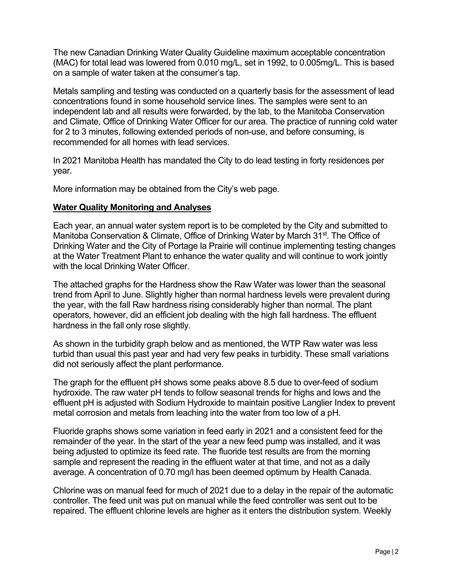The new Canadian Drinking Water Quality Guideline maximum acceptable concentration (MAC) for total lead was lowered from 0.010 mg/L, set in 1992, to 0.005mg/L. This is based on a sample of water taken at the consumer's tap.

Metals sampling and testing was conducted on a quarterly basis for the assessment of lead concentrations found in some household service lines. The samples were sent to an independent lab and all results were forwarded, by the lab, to the Manitoba Conservation and Climate, Office of Drinking Water Officer for our area. The practice of running cold water for 2 to 3 minutes, following extended periods of non-use, and before consuming, is recommended for all homes with lead services.

In 2021 Manitoba Health has mandated the City to do lead testing in forty residences per year.

More information may be obtained from the City's web page.

## **Water Quality Monitoring and Analyses**

Each year, an annual water system report is to be completed by the City and submitted to Manitoba Conservation & Climate, Office of Drinking Water by March 31<sup>st</sup>. The Office of Drinking Water and the City of Portage la Prairie will continue implementing testing changes at the Water Treatment Plant to enhance the water quality and will continue to work jointly with the local Drinking Water Officer.

The attached graphs for the Hardness show the Raw Water was lower than the seasonal trend from April to June. Slightly higher than normal hardness levels were prevalent during the year, with the fall Raw hardness rising considerably higher than normal. The plant operators, however, did an efficient job dealing with the high fall hardness. The effluent hardness in the fall only rose slightly.

As shown in the turbidity graph below and as mentioned, the WTP Raw water was less turbid than usual this past year and had very few peaks in turbidity. These small variations did not seriously affect the plant performance.

The graph for the effluent pH shows some peaks above 8.5 due to over-feed of sodium hydroxide. The raw water pH tends to follow seasonal trends for highs and lows and the effluent pH is adjusted with Sodium Hydroxide to maintain positive Langlier Index to prevent metal corrosion and metals from leaching into the water from too low of a pH.

Fluoride graphs shows some variation in feed early in 2021 and a consistent feed for the remainder of the year. In the start of the year a new feed pump was installed, and it was being adjusted to optimize its feed rate. The fluoride test results are from the morning sample and represent the reading in the effluent water at that time, and not as a daily average. A concentration of 0.70 mg/l has been deemed optimum by Health Canada.

Chlorine was on manual feed for much of 2021 due to a delay in the repair of the automatic controller. The feed unit was put on manual while the feed controller was sent out to be repaired. The effluent chlorine levels are higher as it enters the distribution system. Weekly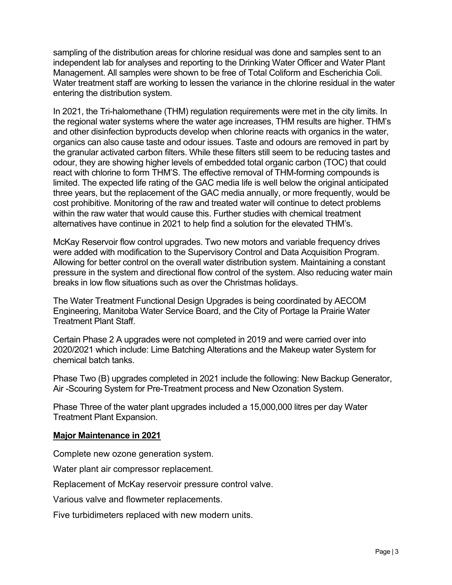sampling of the distribution areas for chlorine residual was done and samples sent to an independent lab for analyses and reporting to the Drinking Water Officer and Water Plant Management. All samples were shown to be free of Total Coliform and Escherichia Coli. Water treatment staff are working to lessen the variance in the chlorine residual in the water entering the distribution system.

In 2021, the Tri-halomethane (THM) regulation requirements were met in the city limits. In the regional water systems where the water age increases, THM results are higher. THM's and other disinfection byproducts develop when chlorine reacts with organics in the water, organics can also cause taste and odour issues. Taste and odours are removed in part by the granular activated carbon filters. While these filters still seem to be reducing tastes and odour, they are showing higher levels of embedded total organic carbon (TOC) that could react with chlorine to form THM'S. The effective removal of THM-forming compounds is limited. The expected life rating of the GAC media life is well below the original anticipated three years, but the replacement of the GAC media annually, or more frequently, would be cost prohibitive. Monitoring of the raw and treated water will continue to detect problems within the raw water that would cause this. Further studies with chemical treatment alternatives have continue in 2021 to help find a solution for the elevated THM's.

McKay Reservoir flow control upgrades. Two new motors and variable frequency drives were added with modification to the Supervisory Control and Data Acquisition Program. Allowing for better control on the overall water distribution system. Maintaining a constant pressure in the system and directional flow control of the system. Also reducing water main breaks in low flow situations such as over the Christmas holidays.

The Water Treatment Functional Design Upgrades is being coordinated by AECOM Engineering, Manitoba Water Service Board, and the City of Portage la Prairie Water Treatment Plant Staff.

Certain Phase 2 A upgrades were not completed in 2019 and were carried over into 2020/2021 which include: Lime Batching Alterations and the Makeup water System for chemical batch tanks.

Phase Two (B) upgrades completed in 2021 include the following: New Backup Generator, Air -Scouring System for Pre-Treatment process and New Ozonation System.

Phase Three of the water plant upgrades included a 15,000,000 litres per day Water Treatment Plant Expansion.

### **Major Maintenance in 2021**

Complete new ozone generation system.

Water plant air compressor replacement.

Replacement of McKay reservoir pressure control valve.

Various valve and flowmeter replacements.

Five turbidimeters replaced with new modern units.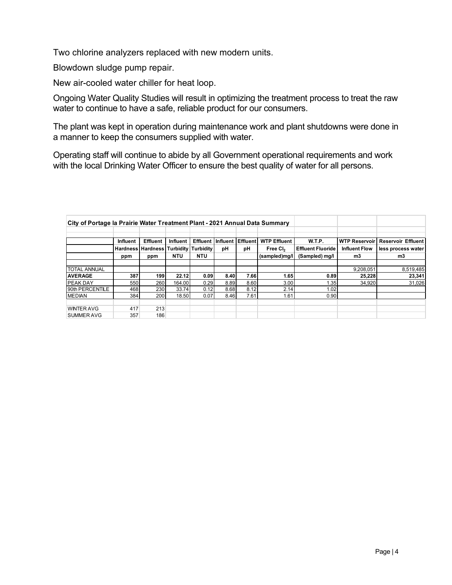Two chlorine analyzers replaced with new modern units.

Blowdown sludge pump repair.

New air-cooled water chiller for heat loop.

Ongoing Water Quality Studies will result in optimizing the treatment process to treat the raw water to continue to have a safe, reliable product for our consumers.

The plant was kept in operation during maintenance work and plant shutdowns were done in a manner to keep the consumers supplied with water.

Operating staff will continue to abide by all Government operational requirements and work with the local Drinking Water Officer to ensure the best quality of water for all persons.

| City of Portage la Prairie Water Treatment Plant - 2021 Annual Data Summary |                 |                                              |            |                 |          |          |                      |                          |                      |                           |
|-----------------------------------------------------------------------------|-----------------|----------------------------------------------|------------|-----------------|----------|----------|----------------------|--------------------------|----------------------|---------------------------|
|                                                                             |                 |                                              |            |                 |          |          |                      |                          |                      |                           |
|                                                                             | <b>Influent</b> | Effluent                                     | Influent   | <b>Effluent</b> | Influent | Effluent | <b>WTP Effluent</b>  | W.T.P.                   | <b>WTP Reservoir</b> | <b>Reservoir Effluent</b> |
|                                                                             |                 | <b>Hardness Hardness Turbidity Turbidity</b> |            |                 | pH       | рH       | Free CI <sub>2</sub> | <b>Effluent Fluoride</b> | <b>Influent Flow</b> | less process water        |
|                                                                             | ppm             | ppm                                          | <b>NTU</b> | NTU             |          |          | (sampled)mg/l        | (Sampled) mg/l           | m3                   | m3                        |
|                                                                             |                 |                                              |            |                 |          |          |                      |                          |                      |                           |
| <b>TOTAL ANNUAL</b>                                                         |                 |                                              |            |                 |          |          |                      |                          | 9.208.051            | 8,519,485                 |
| <b>AVERAGE</b>                                                              | 387             | 199                                          | 22.12      | 0.09            | 8.40     | 7.66     | 1.65                 | 0.89                     | 25,228               | 23.341                    |
| <b>PEAK DAY</b>                                                             | 550             | 260                                          | 164.00     | 0.29            | 8.89     | 8.60     | 3.00                 | 1.35                     | 34,920               | 31,026                    |
| 90th PERCENTILE                                                             | 468             | 230                                          | 33.74      | 0.12            | 8.68     | 8.12     | 2.14                 | 1.02                     |                      |                           |
| <b>MEDIAN</b>                                                               | 384             | 200                                          | 18.50      | 0.07            | 8.46     | 7.61     | 1.61                 | 0.90                     |                      |                           |
|                                                                             |                 |                                              |            |                 |          |          |                      |                          |                      |                           |
| <b>WINTER AVG</b>                                                           | 417             | 213                                          |            |                 |          |          |                      |                          |                      |                           |
| <b>SUMMER AVG</b>                                                           | 357             | 186                                          |            |                 |          |          |                      |                          |                      |                           |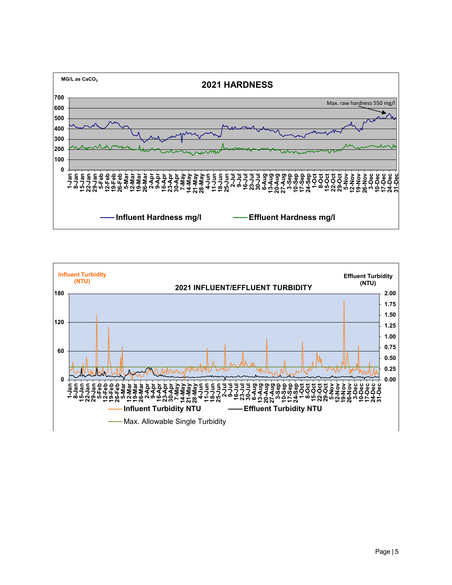

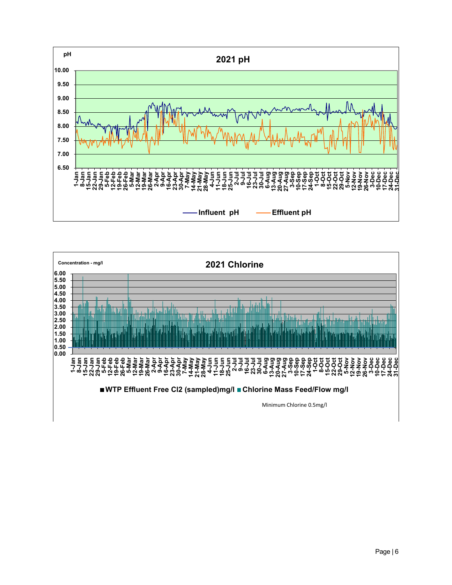

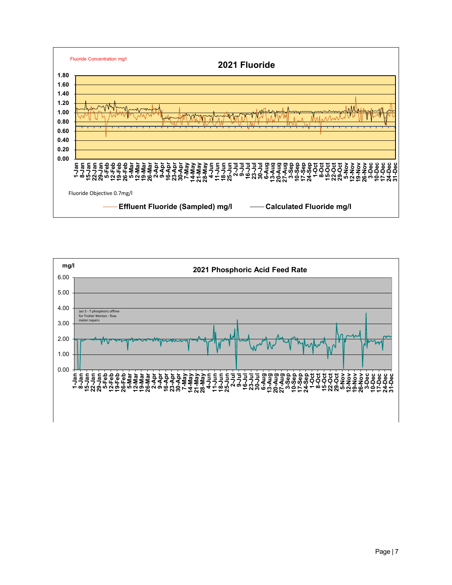

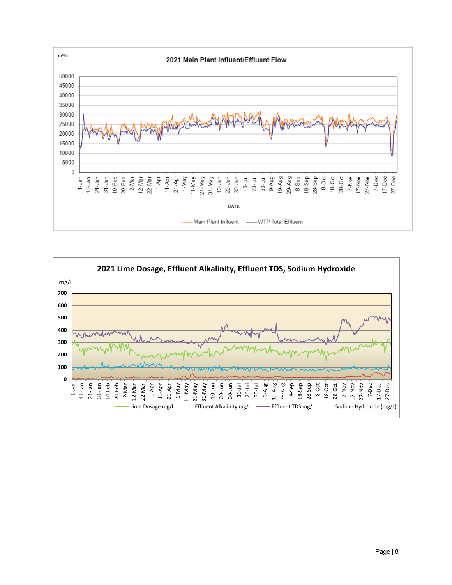